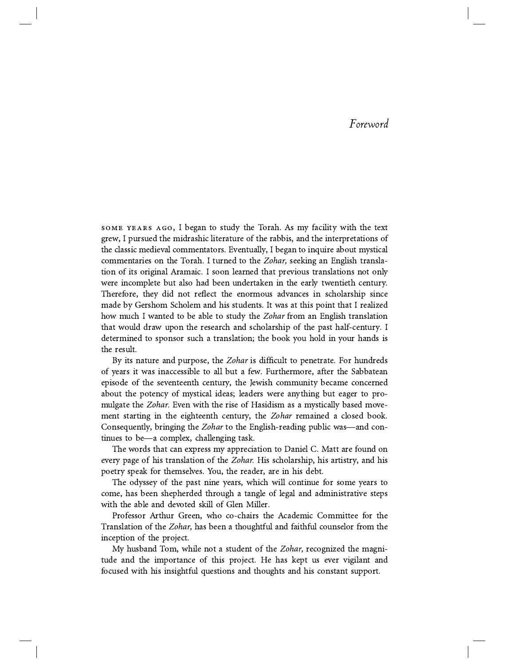## Foreword

SOME YEARS AGO, I began to study the Torah. As my facility with the text grew, I pursued the midrashic literature of the rabbis, and the interpretations of the classic medieval commentators. Eventually, I began to inquire about mystical commentaries on the Torah. I turned to the Zohar, seeking an English translation of its original Aramaic. I soon learned that previous translations not only were incomplete but also had been undertaken in the early twentieth century. Therefore, they did not reflect the enormous advances in scholarship since made by Gershom Scholem and his students. It was at this point that I realized how much I wanted to be able to study the Zohar from an English translation that would draw upon the research and scholarship of the past half-century. I determined to sponsor such a translation; the book you hold in your hands is the result.

By its nature and purpose, the Zohar is difficult to penetrate. For hundreds of years it was inaccessible to all but a few. Furthermore, after the Sabbatean episode of the seventeenth century, the Jewish community became concerned about the potency of mystical ideas; leaders were anything but eager to promulgate the Zohar. Even with the rise of Hasidism as a mystically based movement starting in the eighteenth century, the *Zohar* remained a closed book. Consequently, bringing the *Zohar* to the English-reading public was—and continues to be—a complex, challenging task.

The words that can express my appreciation to Daniel C. Matt are found on every page of his translation of the Zohar. His scholarship, his artistry, and his poetry speak for themselves. You, the reader, are in his debt.

The odyssey of the past nine years, which will continue for some years to come, has been shepherded through a tangle of legal and administrative steps with the able and devoted skill of Glen Miller.

Professor Arthur Green, who co-chairs the Academic Committee for the Translation of the Zohar, has been a thoughtful and faithful counselor from the inception of the project.

My husband Tom, while not a student of the Zohar, recognized the magnitude and the importance of this project. He has kept us ever vigilant and focused with his insightful questions and thoughts and his constant support.